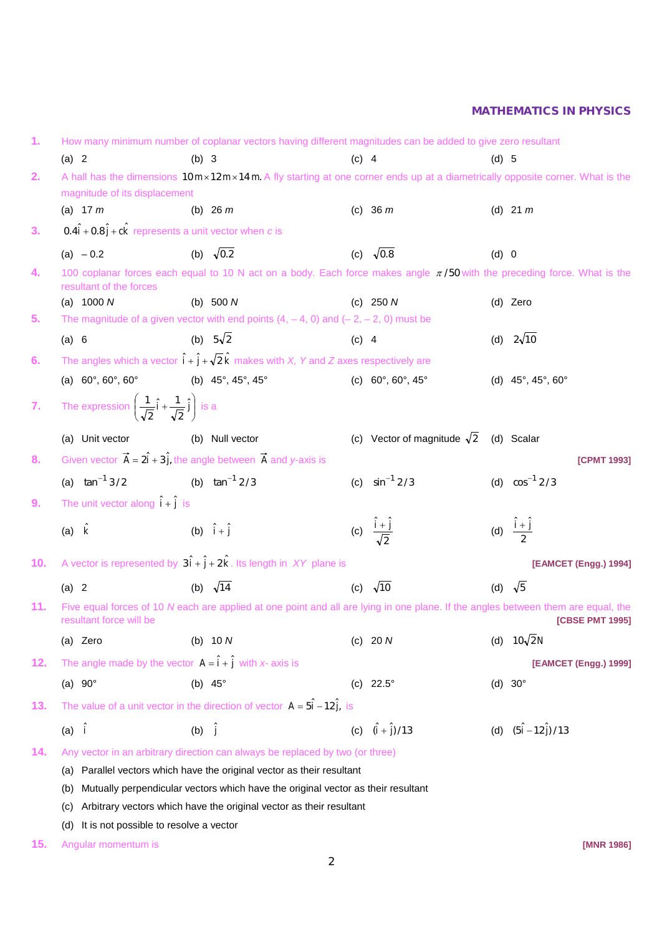| 1.               |                                                                                          | How many minimum number of coplanar vectors having different magnitudes can be added to give zero resultant                                                             |                                          |                                                |  |  |  |  |
|------------------|------------------------------------------------------------------------------------------|-------------------------------------------------------------------------------------------------------------------------------------------------------------------------|------------------------------------------|------------------------------------------------|--|--|--|--|
|                  | (a) 2                                                                                    | $(b)$ 3                                                                                                                                                                 | $(c)$ 4                                  | $(d)$ 5                                        |  |  |  |  |
| 2.               | magnitude of its displacement                                                            | A hall has the dimensions $10 \text{ m} \times 12 \text{ m} \times 14 \text{ m}$ . A fly starting at one corner ends up at a diametrically opposite corner. What is the |                                          |                                                |  |  |  |  |
|                  | (a) $17 m$                                                                               | (b) 26 $m$                                                                                                                                                              | (c) $36 m$                               | (d) 21 $m$                                     |  |  |  |  |
| 3.               | $0.4\hat{i} + 0.8\hat{j} + c\hat{k}$ represents a unit vector when c is                  |                                                                                                                                                                         |                                          |                                                |  |  |  |  |
|                  | (a) $-0.2$                                                                               | (b) $\sqrt{0.2}$                                                                                                                                                        | (c) $\sqrt{0.8}$                         | (d) 0                                          |  |  |  |  |
| 4.               | resultant of the forces                                                                  | 100 coplanar forces each equal to 10 N act on a body. Each force makes angle $\pi/50$ with the preceding force. What is the                                             |                                          |                                                |  |  |  |  |
|                  | (a) $1000 N$                                                                             | (b) $500 N$                                                                                                                                                             | (c) $250 N$                              | (d) Zero                                       |  |  |  |  |
| 5.               |                                                                                          | The magnitude of a given vector with end points $(4, -4, 0)$ and $(-2, -2, 0)$ must be                                                                                  |                                          |                                                |  |  |  |  |
|                  | (a) 6                                                                                    | (b) $5\sqrt{2}$                                                                                                                                                         | $(c)$ 4                                  | (d) $2\sqrt{10}$                               |  |  |  |  |
| 6.               |                                                                                          | The angles which a vector $\hat{\mathbf{i}} + \hat{\mathbf{j}} + \sqrt{2}\hat{\mathbf{k}}$ makes with X, Y and Z axes respectively are                                  |                                          |                                                |  |  |  |  |
|                  | (a) $60^{\circ}$ , $60^{\circ}$ , $60^{\circ}$                                           | (b) $45^{\circ}$ , $45^{\circ}$ , $45^{\circ}$                                                                                                                          | (c) $60^\circ, 60^\circ, 45^\circ$       | (d) $45^{\circ}$ , $45^{\circ}$ , $60^{\circ}$ |  |  |  |  |
| $\overline{7}$ . | The expression $\left(\frac{1}{\sqrt{2}}\hat{i} + \frac{1}{\sqrt{2}}\hat{j}\right)$ is a |                                                                                                                                                                         |                                          |                                                |  |  |  |  |
|                  | (a) Unit vector                                                                          | (b) Null vector                                                                                                                                                         | (c) Vector of magnitude $\sqrt{2}$       | (d) Scalar                                     |  |  |  |  |
| 8.               |                                                                                          | Given vector $\vec{A} = 2\hat{i} + 3\hat{j}$ , the angle between $\vec{A}$ and y-axis is                                                                                |                                          | <b>[CPMT 1993]</b>                             |  |  |  |  |
|                  | (a) $\tan^{-1} 3/2$ (b) $\tan^{-1} 2/3$                                                  |                                                                                                                                                                         | (c) $\sin^{-1} 2/3$                      | (d) $\cos^{-1} 2/3$                            |  |  |  |  |
| 9.               | The unit vector along $\hat{i} + \hat{j}$ is                                             |                                                                                                                                                                         |                                          |                                                |  |  |  |  |
|                  | (a) $\hat{k}$                                                                            | (b) $\hat{i} + \hat{j}$                                                                                                                                                 | (c) $\frac{\hat{i} + \hat{j}}{\sqrt{2}}$ | (d) $\frac{\hat{i}+\hat{j}}{2}$                |  |  |  |  |
| 10.              |                                                                                          | A vector is represented by $3\hat{i} + \hat{j} + 2\hat{k}$ . Its length in XY plane is                                                                                  |                                          | [EAMCET (Engg.) 1994]                          |  |  |  |  |
|                  | (a) 2                                                                                    | (b) $\sqrt{14}$                                                                                                                                                         | (c) $\sqrt{10}$                          | (d) $\sqrt{5}$                                 |  |  |  |  |
| 11.              | resultant force will be                                                                  | Five equal forces of 10 N each are applied at one point and all are lying in one plane. If the angles between them are equal, the                                       |                                          | [CBSE PMT 1995]                                |  |  |  |  |
|                  | (a) Zero                                                                                 | (b) $10 N$                                                                                                                                                              | (c) 20 $N$                               | (d) $10\sqrt{2}$ N                             |  |  |  |  |
| 12.              |                                                                                          | The angle made by the vector $A = \hat{i} + \hat{j}$ with x- axis is                                                                                                    |                                          | [EAMCET (Engg.) 1999]                          |  |  |  |  |
|                  | (a) $90^\circ$                                                                           | (b) $45^\circ$                                                                                                                                                          | (c) $22.5^{\circ}$                       | (d) $30^\circ$                                 |  |  |  |  |
| 13.              |                                                                                          | The value of a unit vector in the direction of vector $A = 5\hat{i} - 12\hat{j}$ , is                                                                                   |                                          |                                                |  |  |  |  |
|                  | $(a)$ i                                                                                  | $(b)$ $\hat{j}$                                                                                                                                                         | (c) $(\hat{i} + \hat{j})/13$             | (d) $(5\hat{i} - 12\hat{j})/13$                |  |  |  |  |
| 14.              |                                                                                          | Any vector in an arbitrary direction can always be replaced by two (or three)                                                                                           |                                          |                                                |  |  |  |  |
|                  | (a)                                                                                      | Parallel vectors which have the original vector as their resultant                                                                                                      |                                          |                                                |  |  |  |  |
|                  | (b)                                                                                      | Mutually perpendicular vectors which have the original vector as their resultant                                                                                        |                                          |                                                |  |  |  |  |
|                  | (C)                                                                                      | Arbitrary vectors which have the original vector as their resultant                                                                                                     |                                          |                                                |  |  |  |  |
|                  | It is not possible to resolve a vector<br>(d)                                            |                                                                                                                                                                         |                                          |                                                |  |  |  |  |
| 15.              | Angular momentum is                                                                      |                                                                                                                                                                         |                                          | [MNR 1986]                                     |  |  |  |  |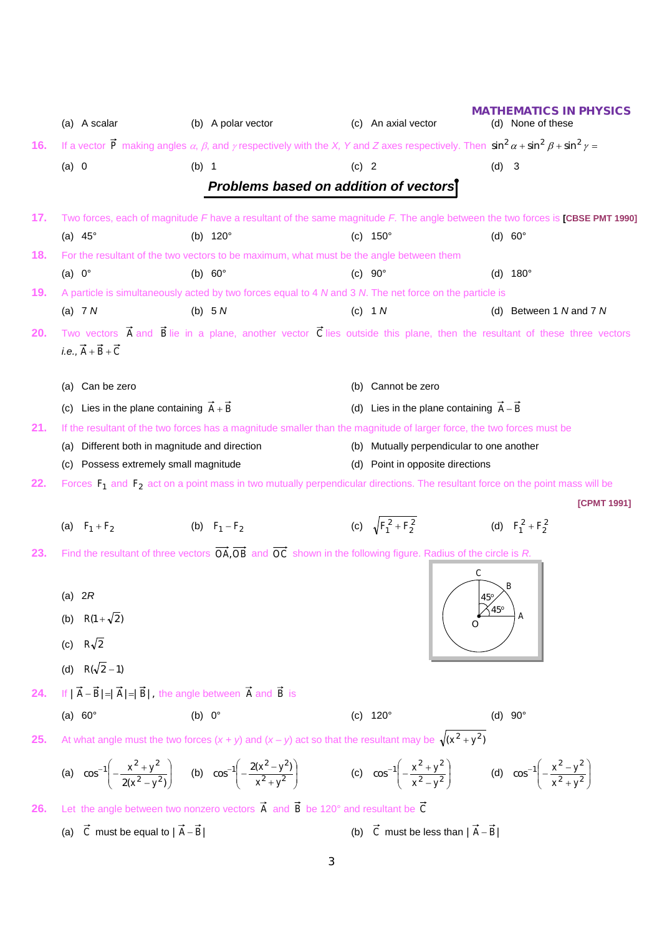|     | (a) A scalar                                            | (b) A polar vector                                                                                                                                                                                                        | (c) An axial vector                                  | IATHEMATICS IN PHYSICS<br>(d) None of these                                                                                                     |
|-----|---------------------------------------------------------|---------------------------------------------------------------------------------------------------------------------------------------------------------------------------------------------------------------------------|------------------------------------------------------|-------------------------------------------------------------------------------------------------------------------------------------------------|
| 16. |                                                         | If a vector $\vec{P}$ making angles $\alpha$ , $\beta$ , and $\gamma$ respectively with the X, Y and Z axes respectively. Then $\sin^2 \alpha + \sin^2 \beta + \sin^2 \gamma =$                                           |                                                      |                                                                                                                                                 |
|     | (a) 0                                                   | (b) 1                                                                                                                                                                                                                     | $(c)$ 2                                              | $(d)$ 3                                                                                                                                         |
|     |                                                         | Problems based on addition of vectors                                                                                                                                                                                     |                                                      |                                                                                                                                                 |
|     |                                                         |                                                                                                                                                                                                                           |                                                      |                                                                                                                                                 |
| 17. | (a) $45^\circ$                                          | (b) $120^{\circ}$                                                                                                                                                                                                         | (c) $150^{\circ}$                                    | Two forces, each of magnitude F have a resultant of the same magnitude F. The angle between the two forces is [CBSE PMT 1990]<br>(d) $60^\circ$ |
| 18. |                                                         | For the resultant of the two vectors to be maximum, what must be the angle between them                                                                                                                                   |                                                      |                                                                                                                                                 |
|     | (a) $0^{\circ}$                                         | (b) $60^\circ$                                                                                                                                                                                                            | $(C)$ 90 $^{\circ}$                                  | (d) $180^{\circ}$                                                                                                                               |
| 19. |                                                         | A particle is simultaneously acted by two forces equal to 4 N and 3 N. The net force on the particle is                                                                                                                   |                                                      |                                                                                                                                                 |
|     | (a) $7 N$                                               | (b) $5N$                                                                                                                                                                                                                  | $(c)$ 1 $N$                                          | (d) Between 1 N and 7 N                                                                                                                         |
| 20. |                                                         |                                                                                                                                                                                                                           |                                                      | Two vectors $\vec{A}$ and $\vec{B}$ lie in a plane, another vector $\vec{C}$ lies outside this plane, then the resultant of these three vectors |
|     | <i>i.e.</i> , $\vec{A} + \vec{B} + \vec{C}$             |                                                                                                                                                                                                                           |                                                      |                                                                                                                                                 |
|     | (a) Can be zero                                         |                                                                                                                                                                                                                           | (b) Cannot be zero                                   |                                                                                                                                                 |
|     | Lies in the plane containing $\vec{A} + \vec{B}$<br>(C) |                                                                                                                                                                                                                           | (d) Lies in the plane containing $\vec{A} - \vec{B}$ |                                                                                                                                                 |
| 21. |                                                         | If the resultant of the two forces has a magnitude smaller than the magnitude of larger force, the two forces must be                                                                                                     |                                                      |                                                                                                                                                 |
|     | (a) Different both in magnitude and direction           |                                                                                                                                                                                                                           | (b) Mutually perpendicular to one another            |                                                                                                                                                 |
|     | (c) Possess extremely small magnitude                   |                                                                                                                                                                                                                           | (d) Point in opposite directions                     |                                                                                                                                                 |
| 22. |                                                         | Forces $F_1$ and $F_2$ act on a point mass in two mutually perpendicular directions. The resultant force on the point mass will be                                                                                        |                                                      |                                                                                                                                                 |
|     |                                                         |                                                                                                                                                                                                                           |                                                      | [CPMT 1991]                                                                                                                                     |
|     | (a) $F_1 + F_2$                                         | (b) $F_1 - F_2$                                                                                                                                                                                                           | (c) $\sqrt{F_1^2 + F_2^2}$                           | (d) $F_1^2 + F_2^2$                                                                                                                             |
| 23. |                                                         | Find the resultant of three vectors $\overrightarrow{OA}$ , $\overrightarrow{OB}$ and $\overrightarrow{OC}$ shown in the following figure. Radius of the circle is R.                                                     |                                                      |                                                                                                                                                 |
|     |                                                         |                                                                                                                                                                                                                           |                                                      | $\mathsf{C}$                                                                                                                                    |
|     | (a) $2R$                                                |                                                                                                                                                                                                                           |                                                      | $45^\circ$                                                                                                                                      |
|     | $R(1+\sqrt{2})$<br>(b)                                  |                                                                                                                                                                                                                           |                                                      | $45^\circ$                                                                                                                                      |
|     | (c) $R\sqrt{2}$                                         |                                                                                                                                                                                                                           |                                                      |                                                                                                                                                 |
|     | (d) $R(\sqrt{2}-1)$                                     |                                                                                                                                                                                                                           |                                                      |                                                                                                                                                 |
| 24. |                                                         | If $ \vec{A}-\vec{B} = \vec{A} = \vec{B} $ , the angle between $\vec{A}$ and $\vec{B}$ is                                                                                                                                 |                                                      |                                                                                                                                                 |
|     | (a) $60^\circ$                                          | (b) $0^\circ$                                                                                                                                                                                                             | (c) $120^{\circ}$                                    | (d) $90^{\circ}$                                                                                                                                |
|     |                                                         |                                                                                                                                                                                                                           |                                                      |                                                                                                                                                 |
| 25. |                                                         | At what angle must the two forces $(x + y)$ and $(x - y)$ act so that the resultant may be $\sqrt{(x^2 + y^2)}$                                                                                                           |                                                      |                                                                                                                                                 |
|     |                                                         | (a) $\cos^{-1}\left(-\frac{x^2+y^2}{2(x^2-y^2)}\right)$ (b) $\cos^{-1}\left(-\frac{2(x^2-y^2)}{x^2+y^2}\right)$ (c) $\cos^{-1}\left(-\frac{x^2+y^2}{x^2-y^2}\right)$ (d) $\cos^{-1}\left(-\frac{x^2-y^2}{x^2+y^2}\right)$ |                                                      |                                                                                                                                                 |
| 26. |                                                         | Let the angle between two nonzero vectors $\vec{A}$ and $\vec{B}$ be 120° and resultant be $\vec{C}$                                                                                                                      |                                                      |                                                                                                                                                 |
|     | (a) $\vec{C}$ must be equal to $ \vec{A}-\vec{B} $      |                                                                                                                                                                                                                           | (b) $\vec{C}$ must be less than $ \vec{A}-\vec{B} $  |                                                                                                                                                 |

3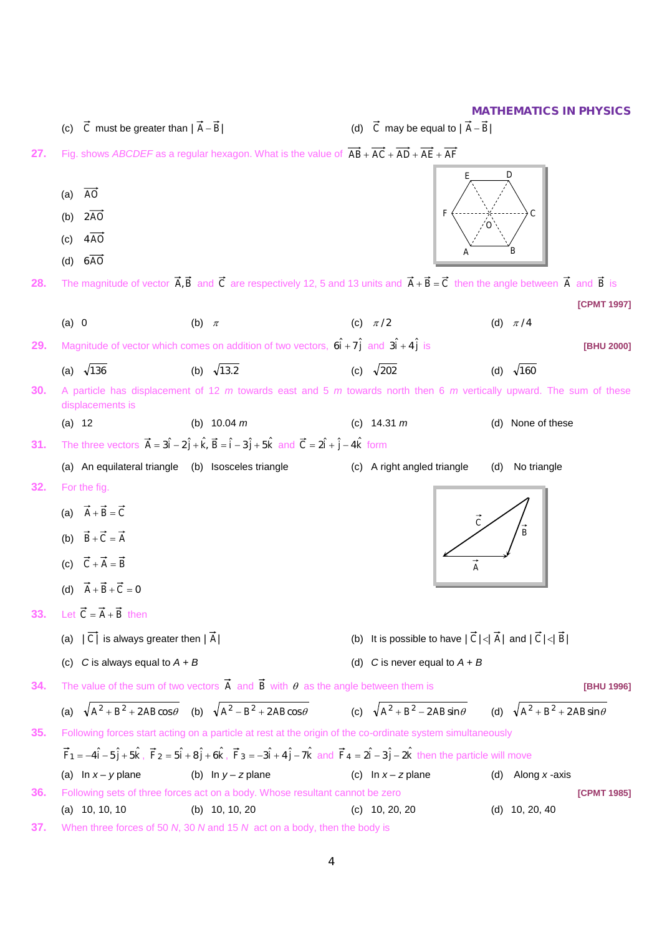(c)  $\vec{C}$  must be greater than  $|\vec{A} - \vec{B}|$  (d)  $\vec{C}$  may be equal to  $|\vec{A} - \vec{B}|$ **27.** Fig. shows *ABCDEF* as a regular hexagon. What is the value of  $\overrightarrow{AB} + \overrightarrow{AC} + \overrightarrow{AD} + \overrightarrow{AE} + \overrightarrow{AF}$ (a) *AO* (b) 2*AO* (c) 4*AO* (d) 6*AO* **28.** The magnitude of vector  $\vec{A}$ ,  $\vec{B}$  and  $\vec{C}$  are respectively 12, 5 and 13 units and  $\vec{A} + \vec{B} = \vec{C}$  then the angle between  $\vec{A}$  and  $\vec{B}$  is **[CPMT 1997]** (a) 0 (b)  $\pi$  (c)  $\pi/2$  (d)  $\pi/4$ **29.** Magnitude of vector which comes on addition of two vectors,  $6\hat{i} + 7\hat{j}$  and  $3\hat{i} + 4\hat{j}$  is **[BHU 2000]** (a)  $\sqrt{136}$  (b)  $\sqrt{13.2}$  (c)  $\sqrt{202}$  (d)  $\sqrt{160}$ **30.** A particle has displacement of 12 *m* towards east and 5 *m* towards north then 6 *m* vertically upward. The sum of these displacements is (a) 12 (b) 10.04 *m* (c) 14.31 *m* (d) None of these **31.** The three vectors  $\vec{A} = 3\hat{i} - 2\hat{j} + \hat{k}$ ,  $\vec{B} = \hat{i} - 3\hat{j} + 5\hat{k}$  and  $\vec{C} = 2\hat{i} + \hat{j} - 4\hat{k}$  form (a) An equilateral triangle (b) Isosceles triangle (c) A right angled triangle (d) No triangle **32.** For the fig. (a)  $\vec{A} + \vec{B} = \vec{C}$ (b)  $\vec{B} + \vec{C} = \vec{A}$ (c)  $\vec{C} + \vec{A} = \vec{B}$ (d)  $\vec{A} + \vec{B} + \vec{C} = 0$ **33.** Let  $\vec{C} = \vec{A} + \vec{B}$  then (a)  $|\vec{C}|$  is always greater then  $|\vec{A}|$  (b) It is possible to have  $|\vec{C}| < |\vec{A}|$  and  $|\vec{C}| < |\vec{B}|$ (c)  $C$  is always equal to  $A + B$   $(d)$   $C$  is never equal to  $A + B$ **34.** The value of the sum of two vectors  $\vec{A}$  and  $\vec{B}$  with  $\theta$  as the angle between them is **[BHU 1996]** (a)  $\sqrt{A^2 + B^2 + 2AB\cos\theta}$  (b)  $\sqrt{A^2 - B^2 + 2AB\cos\theta}$  (c)  $\sqrt{A^2 + B^2 - 2AB\sin\theta}$  (d)  $\sqrt{A^2 + B^2 + 2AB\sin\theta}$ **35.** Following forces start acting on a particle at rest at the origin of the co-ordinate system simultaneously  $\vec{F}_1 = -4\hat{i} - 5\hat{j} + 5\hat{k}$  ,  $\vec{F}_2 = 5\hat{i} + 8\hat{j} + 6\hat{k}$  ,  $\vec{F}_3 = -3\hat{i} + 4\hat{j} - 7\hat{k}$  and  $\vec{F}_4 = 2\hat{i} - 3\hat{j} - 2\hat{k}$  then the particle will move (a) In *x* – *y* plane (b) In *y* – *z* plane (c) In *x* – *z* plane (d) Along *x* -axis **36.** Following sets of three forces act on a body. Whose resultant cannot be zero **[CPMT 1985]** (a) 10, 10, 10 (b) 10, 10, 20 (c) 10, 20, 20 (d) 10, 20, 40 *O F A E D C B B C A*

**37.** When three forces of 50 *N*, 30 *N* and 15 *N* act on a body, then the body is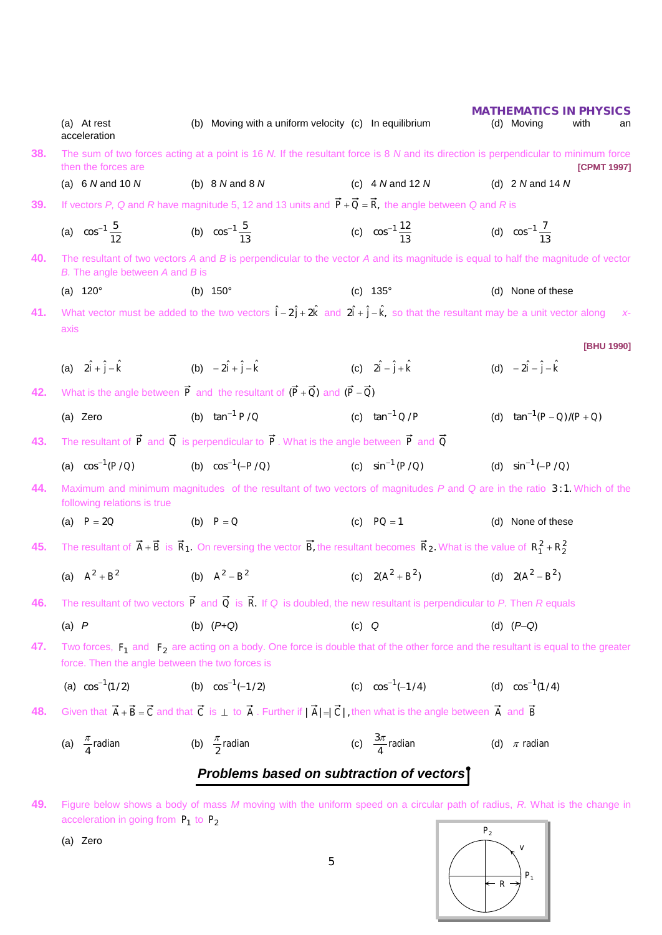|     | (a) At rest<br>acceleration                     | (b) Moving with a uniform velocity (c) In equilibrium                                                                                                                            |                                    | (d) Moving                          | <b>MATHEMATICS IN PHYSICS</b><br>with<br>an |
|-----|-------------------------------------------------|----------------------------------------------------------------------------------------------------------------------------------------------------------------------------------|------------------------------------|-------------------------------------|---------------------------------------------|
| 38. | then the forces are                             | The sum of two forces acting at a point is 16 N. If the resultant force is 8 N and its direction is perpendicular to minimum force                                               |                                    |                                     | [CPMT 1997]                                 |
|     | (a) $6$ N and 10 N                              | (b) $8$ N and $8$ N                                                                                                                                                              | (c) $4 N$ and 12 N                 |                                     | (d) $2$ N and 14 N                          |
| 39. |                                                 | If vectors P, Q and R have magnitude 5, 12 and 13 units and $\vec{P} + \vec{Q} = \vec{R}$ , the angle between Q and R is                                                         |                                    |                                     |                                             |
|     | (a) $\cos^{-1} \frac{5}{12}$                    | (b) $\cos^{-1} \frac{5}{13}$                                                                                                                                                     | (c) $\cos^{-1} \frac{12}{13}$      | (d) $\cos^{-1} \frac{7}{12}$        |                                             |
| 40. | B. The angle between A and B is                 | The resultant of two vectors $A$ and $B$ is perpendicular to the vector $A$ and its magnitude is equal to half the magnitude of vector                                           |                                    |                                     |                                             |
|     | (a) $120^{\circ}$                               | (b) $150^{\circ}$                                                                                                                                                                | (c) $135^{\circ}$                  |                                     | (d) None of these                           |
| 41. |                                                 | What vector must be added to the two vectors $\hat{i} - 2\hat{j} + 2\hat{k}$ and $2\hat{i} + \hat{j} - \hat{k}$ , so that the resultant may be a unit vector along               |                                    |                                     |                                             |
|     | axis                                            |                                                                                                                                                                                  |                                    |                                     | [BHU 1990]                                  |
|     | (a) $2\hat{i} + \hat{j} - \hat{k}$              | (b) $-2\hat{i} + \hat{j} - \hat{k}$                                                                                                                                              | (c) $2\hat{i} - \hat{j} + \hat{k}$ | (d) $-2\hat{i} - \hat{j} - \hat{k}$ |                                             |
| 42. |                                                 | What is the angle between $\vec{P}$ and the resultant of $(\vec{P} + \vec{Q})$ and $(\vec{P} - \vec{Q})$                                                                         |                                    |                                     |                                             |
|     | (a) Zero                                        | (b) $\tan^{-1} P/Q$                                                                                                                                                              | (c) $\tan^{-1} Q/P$                |                                     | (d) $\tan^{-1}(P-Q)/(P+Q)$                  |
| 43. |                                                 | The resultant of $\vec{P}$ and $\vec{Q}$ is perpendicular to $\vec{P}$ . What is the angle between $\vec{P}$ and $\vec{Q}$                                                       |                                    |                                     |                                             |
|     | (a) $\cos^{-1}(P/Q)$                            | (b) $\cos^{-1}(-P/Q)$                                                                                                                                                            | (c) $\sin^{-1} (P/Q)$              | (d) $\sin^{-1}(-P/Q)$               |                                             |
| 44. | following relations is true                     | Maximum and minimum magnitudes of the resultant of two vectors of magnitudes P and Q are in the ratio 3:1. Which of the                                                          |                                    |                                     |                                             |
|     | (a) $P = 2Q$                                    | (b) $P = Q$                                                                                                                                                                      | (c) $PQ = 1$                       |                                     | (d) None of these                           |
| 45. |                                                 | The resultant of $\vec{A} + \vec{B}$ is $\vec{R}_1$ . On reversing the vector $\vec{B}$ , the resultant becomes $\vec{R}_2$ . What is the value of $R_1^2 + R_2^2$               |                                    |                                     |                                             |
|     | (a) $A^2 + B^2$                                 | (b) $A^2 - B^2$                                                                                                                                                                  | (c) $2(A^2 + B^2)$                 | (d) $2(A^2 - B^2)$                  |                                             |
| 46. |                                                 | The resultant of two vectors $\vec{P}$ and $\vec{Q}$ is $\vec{R}$ . If Q is doubled, the new resultant is perpendicular to P. Then R equals                                      |                                    |                                     |                                             |
|     | $(a)$ $P$                                       | (b) $(P+Q)$                                                                                                                                                                      | $(c)$ Q                            | (d) $(P-Q)$                         |                                             |
| 47. | force. Then the angle between the two forces is | Two forces, $F_1$ and $F_2$ are acting on a body. One force is double that of the other force and the resultant is equal to the greater                                          |                                    |                                     |                                             |
|     | (a) $\cos^{-1}(1/2)$                            | (b) $\cos^{-1}(-1/2)$                                                                                                                                                            | (c) $\cos^{-1}(-1/4)$              | (d) $\cos^{-1}(1/4)$                |                                             |
| 48. |                                                 | Given that $\vec{A} + \vec{B} = \vec{C}$ and that $\vec{C}$ is $\bot$ to $\vec{A}$ . Further if $ \vec{A}  =  \vec{C} $ , then what is the angle between $\vec{A}$ and $\vec{B}$ |                                    |                                     |                                             |
|     | (a) $\frac{\pi}{4}$ radian                      | (b) $\frac{\pi}{2}$ radian                                                                                                                                                       | (c) $\frac{3\pi}{4}$ radian        | (d) $\pi$ radian                    |                                             |
|     |                                                 | Problems based on subtraction of vectors                                                                                                                                         |                                    |                                     |                                             |
|     |                                                 |                                                                                                                                                                                  |                                    |                                     |                                             |

**49.** Figure below shows a body of mass *M* moving with the uniform speed on a circular path of radius, *R.* What is the change in acceleration in going from *P*<sup>1</sup> to *P*<sup>2</sup>

(a) Zero

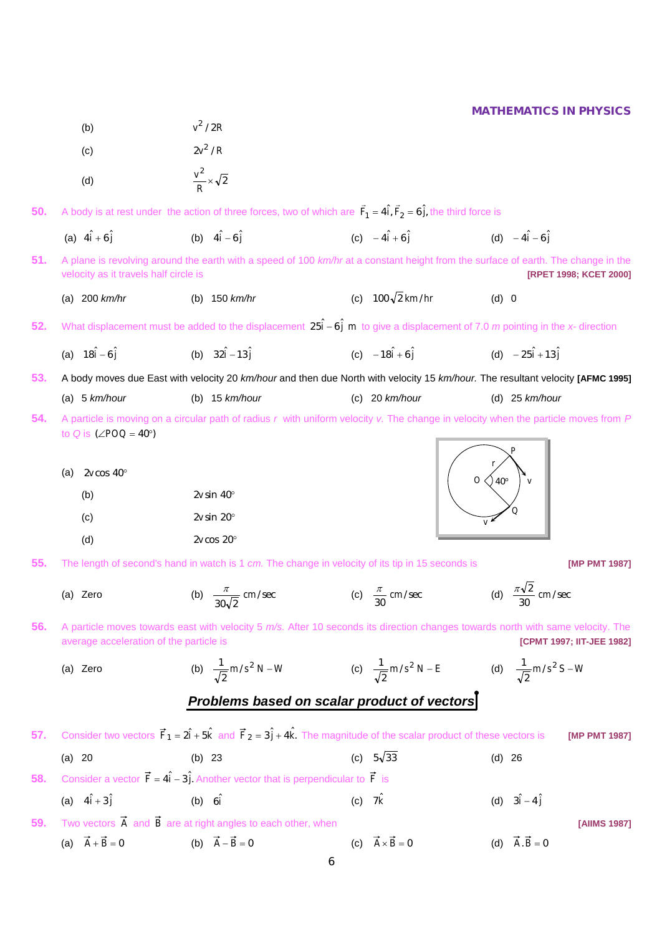- (b)  $v^2 / 2R$
- (c)  $2v^2/R$
- (d)  $\frac{1}{R} \times \sqrt{2}$  $\frac{v^2}{R}$   $\times$
- **50.** A body is at rest under the action of three forces, two of which are  $\vec{F}_1 = 4\hat{i}$ ,  $\vec{F}_2 = 6\hat{j}$ , the third force is
	- (a)  $4\hat{i} + 6\hat{j}$ (b)  $4\hat{i} - 6\hat{i}$  $4\hat{i} - 6\hat{j}$  (c)  $-4\hat{i} + 6\hat{j}$  (d)  $-4\hat{i} - 6\hat{j}$ (d)  $-4\hat{i} - 6\hat{j}$
- **51.** A plane is revolving around the earth with a speed of 100 *km/hr* at a constant height from the surface of earth. The change in the velocity as it travels half circle is **[RPET 1998; KCET 2000]**
	- (a) 200 *km/hr* (b) 150 *km/hr* (c)  $100\sqrt{2}$  km/hr (d) 0
- **52.** What displacement must be added to the displacement  $25\hat{i} 6\hat{j}$  m to give a displacement of 7.0 *m* pointing in the *x* direction
	- (a)  $18\hat{i} 6\hat{j}$ (b)  $32\hat{i} - 13\hat{i}$  $(c) -18i + 6j$  $-18\hat{i} + 6\hat{j}$  (d)  $-25\hat{i} +13\hat{j}$

**53.** A body moves due East with velocity 20 *km/hour* and then due North with velocity 15 *km/hour.* The resultant velocity **[AFMC 1995]**

- (a) 5 *km/hour* (b) 15 *km/hour* (c) 20 *km/hour* (d) 25 *km/hour*
- **54.** A particle is moving on a circular path of radius *r* with uniform velocity *v.* The change in velocity when the particle moves from *P*  to  $Q$  is  $(ZPOQ = 40^{\circ})$ 
	- (a) 2*v* cos 40°

| (b) | $2v \sin 40^\circ$ |
|-----|--------------------|
| (c) | $2v \sin 20^\circ$ |
| (d) | $2v \cos 20^\circ$ |

- **55.** The length of second's hand in watch is 1 *cm.* The change in velocity of its tip in 15 seconds is **[MP PMT 1987]**
	- (a) Zero (b)  $\frac{\pi}{\sqrt{}}$  cm/sec  $30\sqrt{2}$  $\frac{\pi}{\sqrt{2}}$  cm/sec (c)  $\frac{\pi}{30}$  cm/sec  $\frac{\pi}{30}$  cm/sec (d)  $\frac{\pi\sqrt{2}}{30}$  cm/sec  $\frac{\pi\sqrt{2}}{20}$  cm/sec
- **56.** A particle moves towards east with velocity 5 *m/s.* After 10 seconds its direction changes towards north with same velocity. The average acceleration of the particle is **[CPMT 1997; IIT-JEE 1982]**
	- (a) Zero (b)  $\frac{1}{\sqrt{m}} m/s^2 N W$ 2  $\frac{1}{\sqrt{2}}$  m/s<sup>2</sup> N – W (c)  $\frac{1}{\sqrt{2}}$  m/s<sup>2</sup> N – E 2  $\frac{1}{\sqrt{m}} m/s^2 N - E$  (d)  $\frac{1}{\sqrt{m}} m/s^2 S - W$ 2 1

# *Problems based on scalar product of vectors*

|     | 57. Consider two vectors $\vec{F}_1 = 2\hat{i} + 5\hat{k}$ and $\vec{F}_2 = 3\hat{j} + 4\hat{k}$ . The magnitude of the scalar product of these vectors is |                                                                                                          |          |                                  |                           |                                 | [MP PMT 1987] |
|-----|------------------------------------------------------------------------------------------------------------------------------------------------------------|----------------------------------------------------------------------------------------------------------|----------|----------------------------------|---------------------------|---------------------------------|---------------|
|     | (a) 20                                                                                                                                                     | (b) $23$                                                                                                 |          | (c) $5\sqrt{33}$                 | $(d)$ 26                  |                                 |               |
| 58. |                                                                                                                                                            | Consider a vector $\vec{F} = 4\hat{i} - 3\hat{j}$ . Another vector that is perpendicular to $\vec{F}$ is |          |                                  |                           |                                 |               |
|     | (a) $4\hat{i} + 3\hat{j}$                                                                                                                                  | $(b)$ 6i                                                                                                 | $(c)$ 7k |                                  | (d) $3\hat{i} - 4\hat{j}$ |                                 |               |
|     |                                                                                                                                                            | 59. Two vectors $\vec{A}$ and $\vec{B}$ are at right angles to each other, when                          |          |                                  |                           |                                 | [AIIMS 1987]  |
|     | $\vec{A} + \vec{B} = 0$<br>(a)                                                                                                                             | (b) $\vec{A} - \vec{B} = 0$                                                                              |          | (c) $\vec{A} \times \vec{B} = 0$ |                           | (d) $\vec{A} \cdot \vec{B} = 0$ |               |

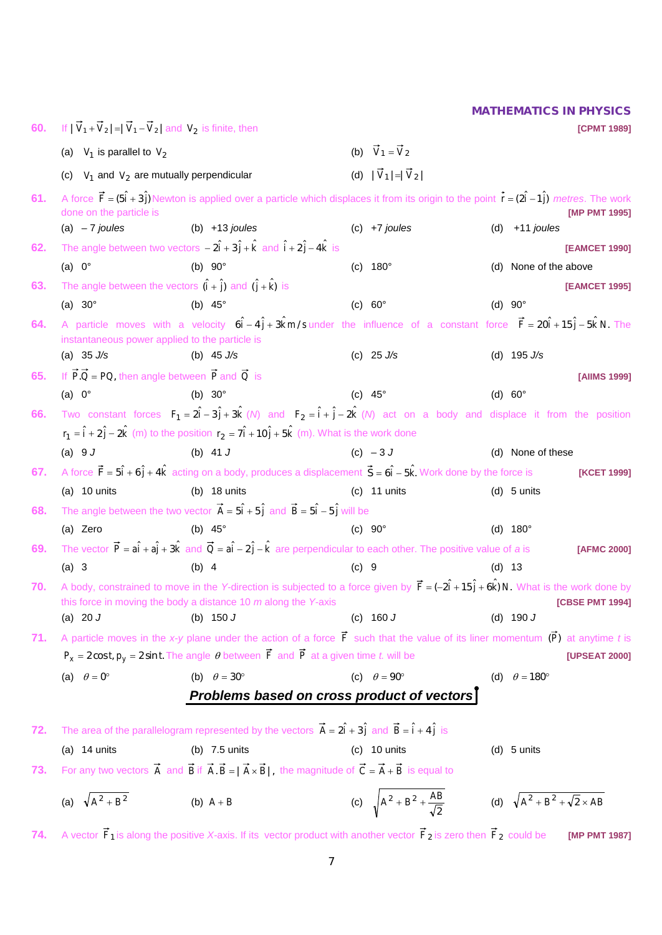| 60. | If $ V_1 + V_2  =  V_1 - V_2 $ and $V_2$ is finite, then                         |                                                                                                                                                                                                                                |                                              |          | <b>[CPMT 1989]</b>                          |  |  |  |
|-----|----------------------------------------------------------------------------------|--------------------------------------------------------------------------------------------------------------------------------------------------------------------------------------------------------------------------------|----------------------------------------------|----------|---------------------------------------------|--|--|--|
|     | (a) $V_1$ is parallel to $V_2$                                                   |                                                                                                                                                                                                                                | (b) $\vec{V}_1 = \vec{V}_2$                  |          |                                             |  |  |  |
|     | (c) $V_1$ and $V_2$ are mutually perpendicular                                   |                                                                                                                                                                                                                                | (d) $ \vec{V}_1  =  \vec{V}_2 $              |          |                                             |  |  |  |
| 61. | done on the particle is                                                          | A force $\vec{F} = (5\hat{i} + 3\hat{j})$ Newton is applied over a particle which displaces it from its origin to the point $\vec{r} = (2\hat{i} - 1\hat{j})$ metres. The work                                                 |                                              |          | [MP PMT 1995]                               |  |  |  |
|     | (a) $-7$ joules                                                                  | (b) $+13$ joules                                                                                                                                                                                                               | $(c)$ +7 joules                              |          | (d) $+11$ joules                            |  |  |  |
| 62. |                                                                                  | The angle between two vectors $-2\hat{i} + 3\hat{j} + \hat{k}$ and $\hat{i} + 2\hat{j} - 4\hat{k}$ is                                                                                                                          |                                              |          | [EAMCET 1990]                               |  |  |  |
|     | (a) $0^\circ$                                                                    | (b) $90^\circ$                                                                                                                                                                                                                 | (c) $180^{\circ}$                            |          | (d) None of the above                       |  |  |  |
| 63. | The angle between the vectors $(\hat{i} + \hat{j})$ and $(\hat{j} + \hat{k})$ is |                                                                                                                                                                                                                                |                                              |          | [EAMCET 1995]                               |  |  |  |
|     | (a) $30^\circ$                                                                   | (b) $45^\circ$                                                                                                                                                                                                                 | (c) $60^\circ$                               |          | (d) $90^\circ$                              |  |  |  |
| 64. | instantaneous power applied to the particle is                                   | A particle moves with a velocity $6\hat{i} - 4\hat{j} + 3\hat{k}$ m/s under the influence of a constant force $\vec{F} = 20\hat{i} + 15\hat{j} - 5\hat{k}$ N. The                                                              |                                              |          |                                             |  |  |  |
|     | (a) $35 \text{ J/s}$                                                             | (b) $45 \text{ J/s}$                                                                                                                                                                                                           | (c) $25 \text{ J/s}$                         |          | (d) $195 \text{ J/s}$                       |  |  |  |
| 65. | If $\vec{P} \cdot \vec{Q} = PQ$ , then angle between $\vec{P}$ and $\vec{Q}$ is  |                                                                                                                                                                                                                                |                                              |          | <b>[AIIMS 1999]</b>                         |  |  |  |
|     | (a) $0^\circ$                                                                    | (b) $30^\circ$                                                                                                                                                                                                                 | (c) $45^\circ$                               |          | (d) $60^\circ$                              |  |  |  |
| 66. |                                                                                  | Two constant forces $F_1 = 2\hat{i} - 3\hat{j} + 3\hat{k}$ ( <i>N</i> ) and $F_2 = \hat{i} + \hat{j} - 2\hat{k}$ ( <i>N</i> ) act on a body and displace it from the position                                                  |                                              |          |                                             |  |  |  |
|     |                                                                                  | $r_1 = \hat{i} + 2\hat{j} - 2\hat{k}$ (m) to the position $r_2 = 7\hat{i} + 10\hat{j} + 5\hat{k}$ (m). What is the work done                                                                                                   |                                              |          |                                             |  |  |  |
|     | (a) $9J$                                                                         | (b) 41 $J$                                                                                                                                                                                                                     | $(c) -3J$                                    |          | (d) None of these                           |  |  |  |
| 67. |                                                                                  | A force $\vec{F} = 5\hat{i} + 6\hat{j} + 4\hat{k}$ acting on a body, produces a displacement $\vec{S} = 6\hat{i} - 5\hat{k}$ . Work done by the force is                                                                       |                                              |          | [KCET 1999]                                 |  |  |  |
|     | (a) $10$ units                                                                   | (b) $18$ units                                                                                                                                                                                                                 | $(c)$ 11 units                               |          | $(d)$ 5 units                               |  |  |  |
| 68. |                                                                                  | The angle between the two vector $\vec{A} = 5\hat{i} + 5\hat{j}$ and $\vec{B} = 5\hat{i} - 5\hat{j}$ will be                                                                                                                   |                                              |          |                                             |  |  |  |
|     | (a) Zero                                                                         | (b) $45^\circ$                                                                                                                                                                                                                 | (c) $90^\circ$                               |          | (d) $180^{\circ}$                           |  |  |  |
| 69. |                                                                                  | The vector $\vec{P} = a\hat{i} + a\hat{j} + 3\hat{k}$ and $\vec{Q} = a\hat{i} - 2\hat{j} - \hat{k}$ are perpendicular to each other. The positive value of a is                                                                |                                              |          | [AFMC 2000]                                 |  |  |  |
|     | $(a)$ 3                                                                          | $(b)$ 4                                                                                                                                                                                                                        | $(C)$ 9                                      | $(d)$ 13 |                                             |  |  |  |
| 70. |                                                                                  | A body, constrained to move in the Y-direction is subjected to a force given by $\vec{F} = (-2\hat{i} + 15\hat{j} + 6\hat{k})N$ . What is the work done by<br>this force in moving the body a distance 10 $m$ along the Y-axis |                                              |          | [CBSE PMT 1994]                             |  |  |  |
|     | (a) 20 $J$                                                                       | (b) $150 J$                                                                                                                                                                                                                    | (c) $160 J$                                  |          | (d) $190 J$                                 |  |  |  |
| 71. |                                                                                  | A particle moves in the x-y plane under the action of a force $\vec{F}$ such that the value of its liner momentum $(\vec{P})$ at anytime t is                                                                                  |                                              |          |                                             |  |  |  |
|     |                                                                                  | $P_x = 2 \cos t$ , $p_y = 2 \sin t$ . The angle $\theta$ between $\vec{F}$ and $\vec{P}$ at a given time t will be<br>[UPSEAT 2000]                                                                                            |                                              |          |                                             |  |  |  |
|     | (a) $\theta = 0^{\circ}$                                                         | (b) $\theta = 30^{\circ}$                                                                                                                                                                                                      | (c) $\theta = 90^\circ$                      |          | (d) $\theta = 180^\circ$                    |  |  |  |
|     |                                                                                  | Problems based on cross product of vectors                                                                                                                                                                                     |                                              |          |                                             |  |  |  |
| 72. |                                                                                  | The area of the parallelogram represented by the vectors $\vec{A} = 2\hat{i} + 3\hat{j}$ and $\vec{B} = \hat{i} + 4\hat{j}$ is                                                                                                 |                                              |          |                                             |  |  |  |
|     | (a) $14$ units                                                                   | (b) $7.5$ units                                                                                                                                                                                                                | $(c)$ 10 units                               |          | $(d)$ 5 units                               |  |  |  |
| 73. |                                                                                  | For any two vectors $\vec{A}$ and $\vec{B}$ if $\vec{A} \cdot \vec{B} =  \vec{A} \times \vec{B} $ , the magnitude of $\vec{C} = \vec{A} + \vec{B}$ is equal to                                                                 |                                              |          |                                             |  |  |  |
|     | (a) $\sqrt{A^2 + B^2}$                                                           | (b) $A + B$                                                                                                                                                                                                                    | (c) $\sqrt{A^2 + B^2 + \frac{AB}{\sqrt{2}}}$ |          | (d) $\sqrt{A^2 + B^2 + \sqrt{2} \times AB}$ |  |  |  |

**74.** A vector  $\vec{F}_1$  is along the positive *X*-axis. If its vector product with another vector  $\vec{F}_2$  is zero then  $\vec{F}_2$  could be **[MP PMT 1987]**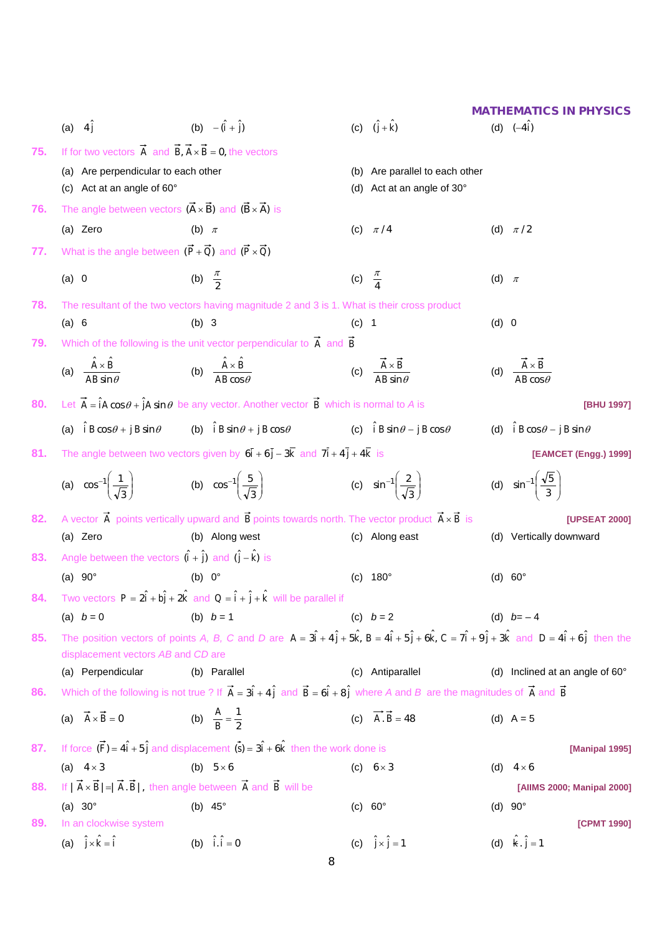|     |                                                                                               |                                                                                                                                                                                                            |                     |                                                        |           | <b>MATHEMATICS IN PHYSICS</b>                       |
|-----|-----------------------------------------------------------------------------------------------|------------------------------------------------------------------------------------------------------------------------------------------------------------------------------------------------------------|---------------------|--------------------------------------------------------|-----------|-----------------------------------------------------|
|     | (a) $4\hat{j}$                                                                                | (b) $-(\hat{i} + \hat{j})$                                                                                                                                                                                 |                     | (c) $(\hat{j} + \hat{k})$                              |           | (d) $(-4i)$                                         |
| 75. | If for two vectors $\vec{A}$ and $\vec{B}$ , $\vec{A} \times \vec{B} = 0$ , the vectors       |                                                                                                                                                                                                            |                     |                                                        |           |                                                     |
|     | (a) Are perpendicular to each other                                                           |                                                                                                                                                                                                            |                     | (b) Are parallel to each other                         |           |                                                     |
|     | (c) Act at an angle of 60°                                                                    |                                                                                                                                                                                                            |                     | (d) Act at an angle of 30°                             |           |                                                     |
| 76. | The angle between vectors $(\vec{A} \times \vec{B})$ and $(\vec{B} \times \vec{A})$ is        |                                                                                                                                                                                                            |                     |                                                        |           |                                                     |
|     | (a) Zero                                                                                      | (b) $\pi$                                                                                                                                                                                                  |                     | (c) $\pi/4$                                            |           | (d) $\pi/2$                                         |
| 77. | What is the angle between $(\vec{P} + \vec{Q})$ and $(\vec{P} \times \vec{Q})$                |                                                                                                                                                                                                            |                     |                                                        |           |                                                     |
|     | (a) 0                                                                                         | (b) $\frac{\pi}{2}$                                                                                                                                                                                        | (c) $\frac{\pi}{4}$ |                                                        | (d) $\pi$ |                                                     |
| 78. |                                                                                               | The resultant of the two vectors having magnitude 2 and 3 is 1. What is their cross product                                                                                                                |                     |                                                        |           |                                                     |
|     | (a) 6                                                                                         | $(b)$ 3                                                                                                                                                                                                    | $(c)$ 1             |                                                        | (d) 0     |                                                     |
| 79. |                                                                                               | Which of the following is the unit vector perpendicular to $\vec{A}$ and $\vec{B}$                                                                                                                         |                     |                                                        |           |                                                     |
|     | (a) $\frac{\hat{A} \times \hat{B}}{\Delta B \sin \theta}$                                     | (b) $\frac{\hat{A} \times \hat{B}}{\Delta B \cos \theta}$                                                                                                                                                  |                     | (c) $\frac{\vec{A} \times \vec{B}}{AB \sin \theta}$    |           | (d) $\frac{\vec{A} \times \vec{B}}{AB \cos \theta}$ |
| 80. |                                                                                               | Let $\vec{A} = \hat{i}A\cos\theta + \hat{j}A\sin\theta$ be any vector. Another vector $\vec{B}$ which is normal to A is                                                                                    |                     |                                                        |           | [BHU 1997]                                          |
|     | (a) $\hat{i} B \cos \theta + \hat{j} B \sin \theta$                                           | (b) $\hat{i} B \sin \theta + j B \cos \theta$                                                                                                                                                              |                     | (c) $\hat{i} B \sin \theta - \hat{j} B \cos \theta$    |           | (d) $\hat{i} B \cos \theta - \hat{j} B \sin \theta$ |
| 81. |                                                                                               | The angle between two vectors given by $6\overline{i} + 6\overline{j} - 3\overline{k}$ and $7\overline{i} + 4\overline{j} + 4\overline{k}$ is                                                              |                     |                                                        |           | [EAMCET (Engg.) 1999]                               |
|     | (a) $\cos^{-1}\left(\frac{1}{\sqrt{3}}\right)$ (b) $\cos^{-1}\left(\frac{5}{\sqrt{3}}\right)$ |                                                                                                                                                                                                            |                     | (c) $\sin^{-1} \left( \frac{2}{\sqrt{3}} \right)$      |           | (d) $\sin^{-1} \left( \frac{\sqrt{5}}{3} \right)$   |
| 82. |                                                                                               | A vector $\overrightarrow{A}$ points vertically upward and $\overrightarrow{B}$ points towards north. The vector product $\overrightarrow{A} \times \overrightarrow{B}$ is                                 |                     |                                                        |           | [UPSEAT 2000]                                       |
|     | (a) Zero                                                                                      | (b) Along west                                                                                                                                                                                             |                     | (c) Along east                                         |           | (d) Vertically downward                             |
| 83. | Angle between the vectors $(\hat{i} + \hat{j})$ and $(\hat{j} - \hat{k})$ is                  |                                                                                                                                                                                                            |                     |                                                        |           |                                                     |
|     | (a) $90^\circ$                                                                                | (b) $0^\circ$                                                                                                                                                                                              | (C)                 | 180 $^{\circ}$                                         |           | (d) $60^\circ$                                      |
|     |                                                                                               | <b>84.</b> Two vectors $P = 2\hat{i} + b\hat{j} + 2\hat{k}$ and $Q = \hat{i} + \hat{j} + \hat{k}$ will be parallel if                                                                                      |                     |                                                        |           |                                                     |
|     | (a) $b = 0$                                                                                   | (b) $b = 1$                                                                                                                                                                                                |                     | (c) $b = 2$                                            |           | (d) $b=-4$                                          |
| 85. | displacement vectors AB and CD are                                                            | The position vectors of points A, B, C and D are $A = 3\hat{i} + 4\hat{j} + 5\hat{k}$ , $B = 4\hat{i} + 5\hat{j} + 6\hat{k}$ , $C = 7\hat{i} + 9\hat{j} + 3\hat{k}$ and $D = 4\hat{i} + 6\hat{j}$ then the |                     |                                                        |           |                                                     |
|     | (a) Perpendicular                                                                             | (b) Parallel                                                                                                                                                                                               |                     | (c) Antiparallel                                       |           | (d) Inclined at an angle of 60°                     |
| 86. |                                                                                               | Which of the following is not true ? If $\vec{A} = 3\hat{i} + 4\hat{j}$ and $\vec{B} = 6\hat{i} + 8\hat{j}$ where A and B are the magnitudes of $\vec{A}$ and $\vec{B}$                                    |                     |                                                        |           |                                                     |
|     | (a) $\vec{A} \times \vec{B} = 0$                                                              | (b) $\frac{A}{R} = \frac{1}{2}$                                                                                                                                                                            |                     | (c) $\overrightarrow{A} \cdot \overrightarrow{B} = 48$ |           | (d) $A = 5$                                         |
| 87. |                                                                                               | If force $(\vec{F}) = 4\hat{i} + 5\hat{j}$ and displacement $(\vec{s}) = 3\hat{i} + 6\hat{k}$ then the work done is                                                                                        |                     |                                                        |           | [Manipal 1995]                                      |
|     | (a) $4 \times 3$                                                                              | (b) $5 \times 6$                                                                                                                                                                                           |                     | (c) $6 \times 3$                                       |           | (d) $4 \times 6$                                    |
| 88. |                                                                                               | If $ \vec{A} \times \vec{B}  =  \vec{A} \cdot \vec{B} $ , then angle between $\vec{A}$ and $\vec{B}$ will be                                                                                               |                     |                                                        |           | [AllMS 2000; Manipal 2000]                          |
|     | (a) $30^\circ$                                                                                | (b) $45^\circ$                                                                                                                                                                                             |                     | (c) $60^\circ$                                         |           | (d) $90^\circ$                                      |
| 89. | In an clockwise system                                                                        |                                                                                                                                                                                                            |                     |                                                        |           | [CPMT 1990]                                         |
|     | (a) $\hat{j} \times \hat{k} = \hat{i}$                                                        | (b) $\hat{i} \cdot \hat{i} = 0$                                                                                                                                                                            |                     | (c) $\hat{j} \times \hat{j} = 1$                       |           | (d) $\hat{k} \cdot \hat{j} = 1$                     |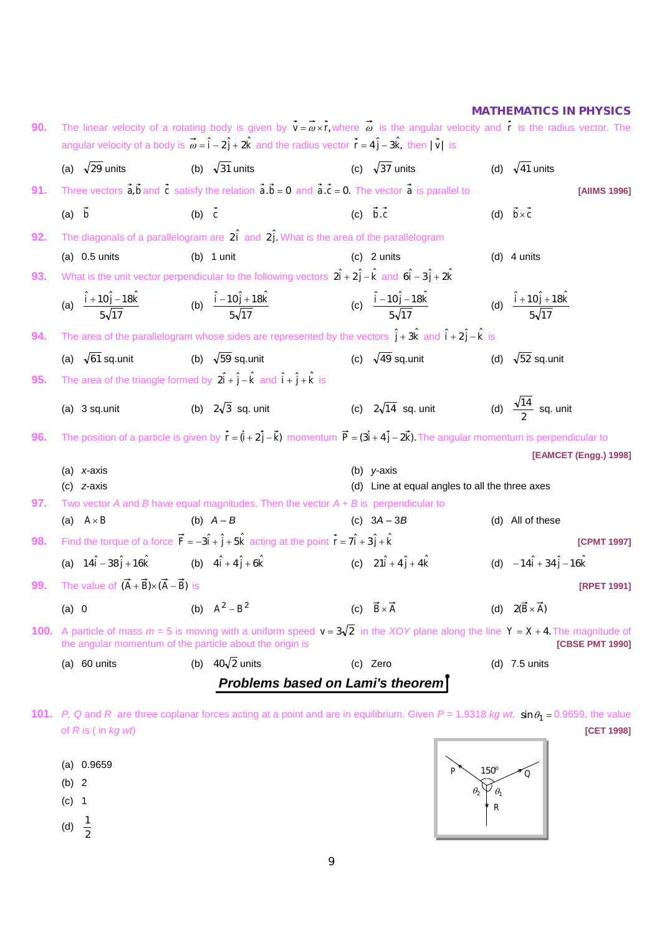| 90. |                                                                  | The linear velocity of a rotating body is given by $\vec{v} = \vec{\omega} \times \vec{r}$ , where $\vec{\omega}$ is the angular velocity and $\vec{r}$ is the radius vector. The<br>angular velocity of a body is $\vec{\omega} = \hat{i} - 2\hat{j} + 2\hat{k}$ and the radius vector $\vec{r} = 4\hat{j} - 3\hat{k}$ , then $ \vec{v} $ is |                                                                 |                                                          |
|-----|------------------------------------------------------------------|-----------------------------------------------------------------------------------------------------------------------------------------------------------------------------------------------------------------------------------------------------------------------------------------------------------------------------------------------|-----------------------------------------------------------------|----------------------------------------------------------|
|     | (a) $\sqrt{29}$ units                                            | (b) $\sqrt{31}$ units                                                                                                                                                                                                                                                                                                                         | (c) $\sqrt{37}$ units                                           | (d) $\sqrt{41}$ units                                    |
| 91. |                                                                  | Three vectors $\vec{a}, \vec{b}$ and $\vec{c}$ satisfy the relation $\vec{a} \cdot \vec{b} = 0$ and $\vec{a} \cdot \vec{c} = 0$ . The vector $\vec{a}$ is parallel to                                                                                                                                                                         |                                                                 | [AIIMS 1996]                                             |
|     | $(a)$ $\vec{b}$                                                  | (b) $\vec{c}$                                                                                                                                                                                                                                                                                                                                 | (c) $\vec{b} \cdot \vec{c}$                                     | (d) $\vec{b} \times \vec{c}$                             |
| 92. |                                                                  | The diagonals of a parallelogram are $2\hat{i}$ and $2\hat{j}$ . What is the area of the parallelogram                                                                                                                                                                                                                                        |                                                                 |                                                          |
|     | (a) $0.5$ units                                                  | (b) $1$ unit                                                                                                                                                                                                                                                                                                                                  | $(c)$ 2 units                                                   | $(d)$ 4 units                                            |
| 93. |                                                                  | What is the unit vector perpendicular to the following vectors $2\hat{i} + 2\hat{j} - \hat{k}$ and $6\hat{i} - 3\hat{j} + 2\hat{k}$                                                                                                                                                                                                           |                                                                 |                                                          |
|     |                                                                  | (a) $\frac{\hat{i} + 10\hat{j} - 18\hat{k}}{5\sqrt{17}}$ (b) $\frac{\hat{i} - 10\hat{j} + 18\hat{k}}{5\sqrt{17}}$                                                                                                                                                                                                                             | (c) $\frac{\hat{i} - 10\hat{j} - 18\hat{k}}{5\sqrt{17}}$        | (d) $\frac{\hat{i} + 10\hat{j} + 18\hat{k}}{5\sqrt{17}}$ |
| 94. |                                                                  | The area of the parallelogram whose sides are represented by the vectors $\hat{j} + 3\hat{k}$ and $\hat{i} + 2\hat{j} - \hat{k}$ is                                                                                                                                                                                                           |                                                                 |                                                          |
|     | (a) $\sqrt{61}$ sq.unit                                          | (b) $\sqrt{59}$ sq.unit                                                                                                                                                                                                                                                                                                                       | (c) $\sqrt{49}$ sq.unit                                         | (d) $\sqrt{52}$ sq.unit                                  |
| 95. |                                                                  | The area of the triangle formed by $2\hat{i} + \hat{j} - \hat{k}$ and $\hat{i} + \hat{j} + \hat{k}$ is                                                                                                                                                                                                                                        |                                                                 |                                                          |
|     | $(a)$ 3 sq.unit                                                  | (b) $2\sqrt{3}$ sq. unit                                                                                                                                                                                                                                                                                                                      | (c) $2\sqrt{14}$ sq. unit                                       | (d) $\frac{\sqrt{14}}{2}$ sq. unit                       |
| 96. |                                                                  | The position of a particle is given by $\vec{r} = (\vec{i} + 2\vec{j} - \vec{k})$ momentum $\vec{P} = (3\vec{i} + 4\vec{j} - 2\vec{k})$ . The angular momentum is perpendicular to                                                                                                                                                            |                                                                 |                                                          |
|     |                                                                  |                                                                                                                                                                                                                                                                                                                                               |                                                                 | [EAMCET (Engg.) 1998]                                    |
|     | (a) $x$ -axis<br>$(c)$ <i>z</i> -axis                            |                                                                                                                                                                                                                                                                                                                                               | (b) $y$ -axis<br>(d) Line at equal angles to all the three axes |                                                          |
| 97. |                                                                  | Two vector A and B have equal magnitudes. Then the vector $A + B$ is perpendicular to                                                                                                                                                                                                                                                         |                                                                 |                                                          |
|     | (a) $A \times B$                                                 | (b) $A - B$                                                                                                                                                                                                                                                                                                                                   | (c) $3A - 3B$                                                   | (d) All of these                                         |
| 98. |                                                                  | Find the torque of a force $\vec{F} = -3\hat{i} + \hat{j} + 5\hat{k}$ acting at the point $\vec{r} = 7\hat{i} + 3\hat{j} + \hat{k}$                                                                                                                                                                                                           |                                                                 | [CPMT 1997]                                              |
|     |                                                                  | (a) $14\hat{i} - 38\hat{j} + 16\hat{k}$ (b) $4\hat{i} + 4\hat{j} + 6\hat{k}$                                                                                                                                                                                                                                                                  | (c) $21\hat{i} + 4\hat{j} + 4\hat{k}$                           | (d) $-14\hat{i} + 34\hat{j} - 16\hat{k}$                 |
| 99. | The value of $(\vec{A} + \vec{B}) \times (\vec{A} - \vec{B})$ is |                                                                                                                                                                                                                                                                                                                                               |                                                                 | <b>[RPET 1991]</b>                                       |
|     | (a) 0                                                            | (b) $A^2 - B^2$                                                                                                                                                                                                                                                                                                                               | (c) $\vec{B} \times \vec{A}$                                    | (d) $2(\vec{B} \times \vec{A})$                          |
|     |                                                                  | <b>100.</b> A particle of mass $m = 5$ is moving with a uniform speed $v = 3\sqrt{2}$ in the XOY plane along the line $Y = X + 4$ . The magnitude of<br>the angular momentum of the particle about the origin is                                                                                                                              |                                                                 | [CBSE PMT 1990]                                          |
|     | (a) $60$ units                                                   | (b) $40\sqrt{2}$ units                                                                                                                                                                                                                                                                                                                        | (c) Zero                                                        | (d) $7.5$ units                                          |
|     |                                                                  |                                                                                                                                                                                                                                                                                                                                               | Problems based on Lami's theorem                                |                                                          |

**101.** *P*, Q and *R* are three coplanar forces acting at a point and are in equilibrium. Given  $P = 1.9318$  *kg wt,*  $\sin \theta_1 = 0.9659$ , the value of *R* is ( in *kg wt*) **[CET 1998]**

(a) 0.9659 (b) 2 (c) 1 (d)  $\frac{1}{2}$ 

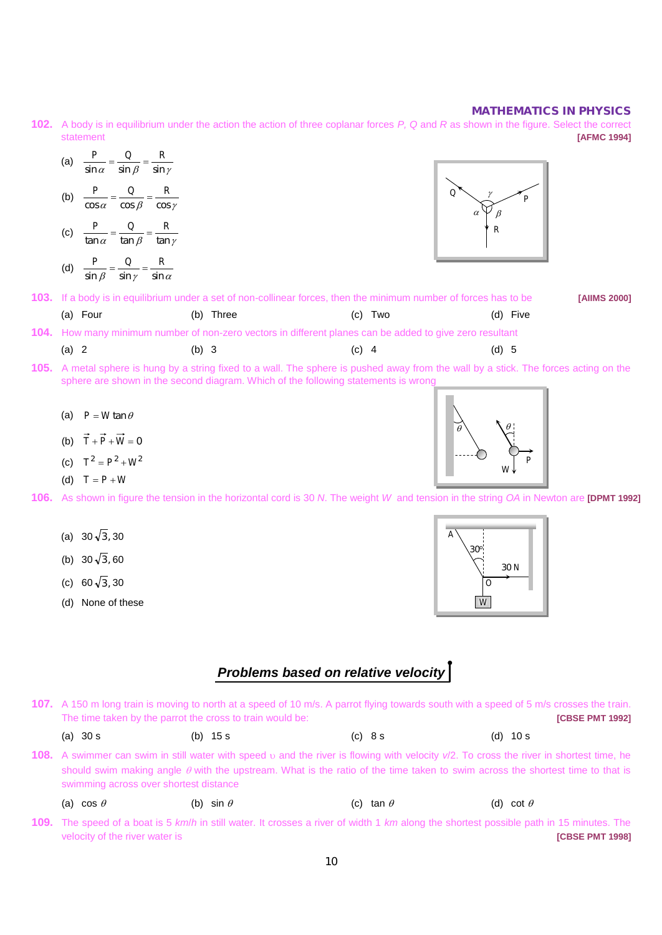**102.** A body is in equilibrium under the action the action of three coplanar forces *P, Q* and *R* as shown in the figure. Select the correct statement **[AFMC 1994]**

| (a)<br>$\sin \beta$<br>$\sin \gamma$<br>$\sin \alpha$     |                   |                                                                                                                                    |                   |              |
|-----------------------------------------------------------|-------------------|------------------------------------------------------------------------------------------------------------------------------------|-------------------|--------------|
| (b)<br>$\cos \beta$<br>$\cos \gamma$<br>$\cos \alpha$     |                   |                                                                                                                                    | Q<br>α            |              |
| R<br>(c)<br>$\tan \beta$<br>tan $\gamma$<br>$\tan \alpha$ |                   |                                                                                                                                    | R                 |              |
| (d)<br>$\sin \alpha$<br>$\sin \gamma$<br>$\sin \beta$     |                   |                                                                                                                                    |                   |              |
|                                                           | $\cdots$ $\cdots$ | 103. If a body is in equilibrium under a set of non-collinear forces, then the minimum number of forces has to be<br>$\sim$ $\sim$ | $\cdots$ $\cdots$ | [AIIMS 2000] |

| (a) Four | (b) Three                                                                                                | (c) Two | (d) Five |
|----------|----------------------------------------------------------------------------------------------------------|---------|----------|
|          | 104. How many minimum number of non-zero vectors in different planes can be added to give zero resultant |         |          |

(a) 2 (b) 3 (c) 4 (d) 5

- **105.** A metal sphere is hung by a string fixed to a wall. The sphere is pushed away from the wall by a stick. The forces acting on the sphere are shown in the second diagram. Which of the following statements is wrong
	- (a)  $P = W \tan \theta$
	- (b)  $\vec{T} + \vec{P} + \vec{W} = 0$
	- (c)  $T^2 = P^2 + W^2$
	- (d)  $T = P + W$

**106.** As shown in figure the tension in the horizontal cord is 30 *N*. The weight *W* and tension in the string *OA* in Newton are **[DPMT 1992]**

- (a)  $30\sqrt{3}$ , 30
- (b) 30 $\sqrt{3}$ , 60
- (c) 60 $\sqrt{3}$ , 30
- (d) None of these



*P* 

*W* 

θ

θ

## *Problems based on relative velocity*

**107.** A 150 m long train is moving to north at a speed of 10 m/s. A parrot flying towards south with a speed of 5 m/s crosses the train. The time taken by the parrot the cross to train would be: *CBSE PMT 1992 CBSE PMT 1992* 

| (a) 30 s<br>(b) $15 s$<br>(d) $10 s$<br>(c) 8s |  |
|------------------------------------------------|--|
|------------------------------------------------|--|

**108.** A swimmer can swim in still water with speed υ and the river is flowing with velocity *v*/2. To cross the river in shortest time, he should swim making angle  $\theta$  with the upstream. What is the ratio of the time taken to swim across the shortest time to that is swimming across over shortest distance

|  | (a) $\cos\,\theta$ | (b) sin $\theta$ | (c) tan $\theta$ |  | (d) cot $\theta$ |  |
|--|--------------------|------------------|------------------|--|------------------|--|
|--|--------------------|------------------|------------------|--|------------------|--|

**109.** The speed of a boat is 5 *km*/*h* in still water. It crosses a river of width 1 *km* along the shortest possible path in 15 minutes. The velocity of the river water is **[CBSE PMT 1998]**